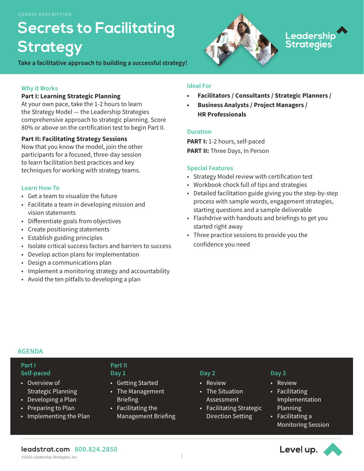# **Secrets to Facilitating Strategy**

**Take a facilitative approach to building a successful strategy!** 

## **Why it Works**

## **Part I: Learning Strategic Planning**

At your own pace, take the 1-2 hours to learn the Strategy Model — the Leadership Strategies comprehensive approach to strategic planning. Score 80% or above on the certification test to begin Part II.

## **Part II: Facilitating Strategy Sessions**

Now that you know the model, join the other participants for a focused, three-day session to learn facilitation best practices and key techniques for working with strategy teams.

## **Learn How To**

- Get a team to visualize the future
- Facilitate a team in developing mission and vision statements
- Differentiate goals from objectives
- Create positioning statements
- Establish guiding principles
- Isolate critical success factors and barriers to success
- Develop action plans for implementation
- Design a communications plan
- Implement a monitoring strategy and accountability
- Avoid the ten pitfalls to developing a plan

## **Ideal For**

**• Facilitators / Consultants / Strategic Planners /** 

Leadership<br>Strategies

**• Business Analysts / Project Managers / HR Professionals**

## **Duration**

**PART I:** 1-2 hours, self-paced **PART II:** Three Days, In Person

## **Special Features**

- Strategy Model review with certification test
- Workbook chock full of tips and strategies
- Detailed facilitation guide giving you the step-by-step process with sample words, engagement strategies, starting questions and a sample deliverable
- Flashdrive with handouts and briefings to get you started right away
- Three practice sessions to provide you the confidence you need

## **AGENDA**

## **Part I Self-paced**

- Overview of Strategic Planning
- Developing a Plan
- Preparing to Plan
- Implementing the Plan

#### **Part II Day 1**

- Getting Started
- The Management **Briefing**
- Facilitating the Management Briefing

## **Day 2**

- Review
- The Situation Assessment
- Facilitating Strategic Direction Setting

## **Day 3**

- Review
- Facilitating Implementation Planning
- Facilitating a Monitoring Session